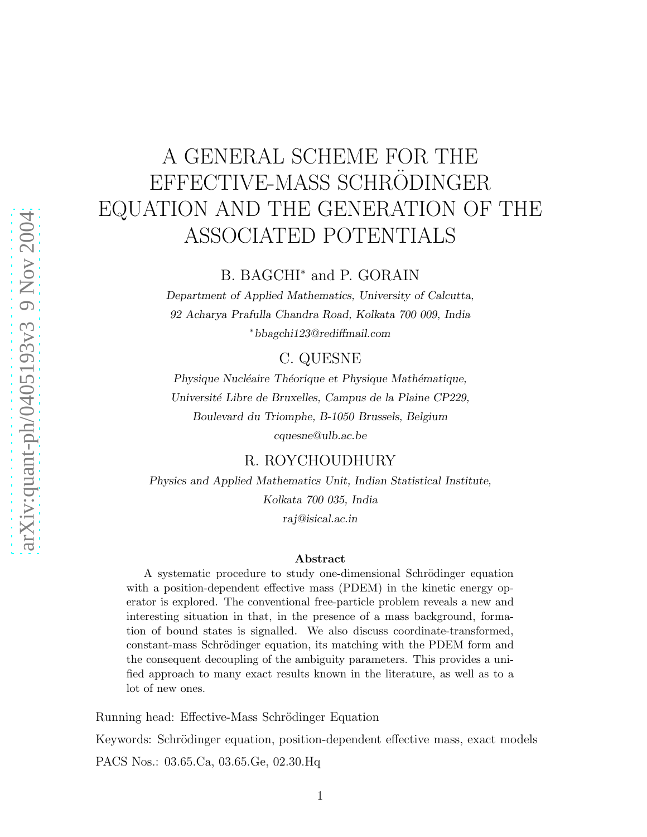# A GENERAL SCHEME FOR THE EFFECTIVE-MASS SCHRÖDINGER EQUATION AND THE GENERATION OF THE ASSOCIATED POTENTIALS

### B. BAGCHI<sup>∗</sup> and P. GORAIN

Department of Applied Mathematics, University of Calcutta, 92 Acharya Prafulla Chandra Road, Kolkata 700 009, India ∗bbagchi123@rediffmail.com

#### C. QUESNE

Physique Nucléaire Théorique et Physique Mathématique, Université Libre de Bruxelles, Campus de la Plaine CP229, Boulevard du Triomphe, B-1050 Brussels, Belgium cquesne@ulb.ac.be

#### R. ROYCHOUDHURY

Physics and Applied Mathematics Unit, Indian Statistical Institute, Kolkata 700 035, India raj@isical.ac.in

#### Abstract

A systematic procedure to study one-dimensional Schrödinger equation with a position-dependent effective mass (PDEM) in the kinetic energy operator is explored. The conventional free-particle problem reveals a new and interesting situation in that, in the presence of a mass background, formation of bound states is signalled. We also discuss coordinate-transformed, constant-mass Schrödinger equation, its matching with the PDEM form and the consequent decoupling of the ambiguity parameters. This provides a unified approach to many exact results known in the literature, as well as to a lot of new ones.

Running head: Effective-Mass Schrödinger Equation

Keywords: Schrödinger equation, position-dependent effective mass, exact models PACS Nos.: 03.65.Ca, 03.65.Ge, 02.30.Hq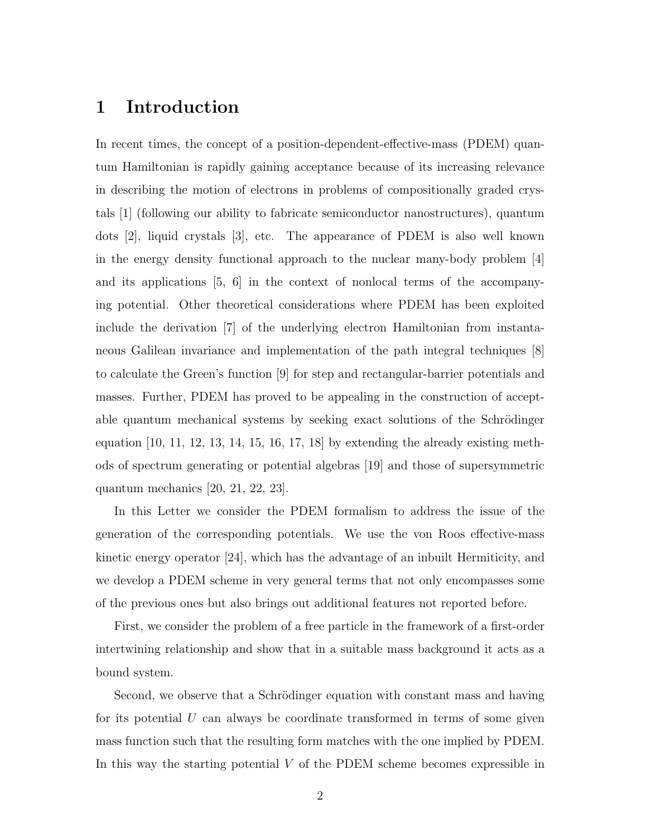### 1 Introduction

In recent times, the concept of a position-dependent-effective-mass (PDEM) quantum Hamiltonian is rapidly gaining acceptance because of its increasing relevance in describing the motion of electrons in problems of compositionally graded crystals [1] (following our ability to fabricate semiconductor nanostructures), quantum dots [2], liquid crystals [3], etc. The appearance of PDEM is also well known in the energy density functional approach to the nuclear many-body problem [4] and its applications [5, 6] in the context of nonlocal terms of the accompanying potential. Other theoretical considerations where PDEM has been exploited include the derivation [7] of the underlying electron Hamiltonian from instantaneous Galilean invariance and implementation of the path integral techniques [8] to calculate the Green's function [9] for step and rectangular-barrier potentials and masses. Further, PDEM has proved to be appealing in the construction of acceptable quantum mechanical systems by seeking exact solutions of the Schrödinger equation  $[10, 11, 12, 13, 14, 15, 16, 17, 18]$  by extending the already existing methods of spectrum generating or potential algebras [19] and those of supersymmetric quantum mechanics [20, 21, 22, 23].

In this Letter we consider the PDEM formalism to address the issue of the generation of the corresponding potentials. We use the von Roos effective-mass kinetic energy operator [24], which has the advantage of an inbuilt Hermiticity, and we develop a PDEM scheme in very general terms that not only encompasses some of the previous ones but also brings out additional features not reported before.

First, we consider the problem of a free particle in the framework of a first-order intertwining relationship and show that in a suitable mass background it acts as a bound system.

Second, we observe that a Schrödinger equation with constant mass and having for its potential U can always be coordinate transformed in terms of some given mass function such that the resulting form matches with the one implied by PDEM. In this way the starting potential  $V$  of the PDEM scheme becomes expressible in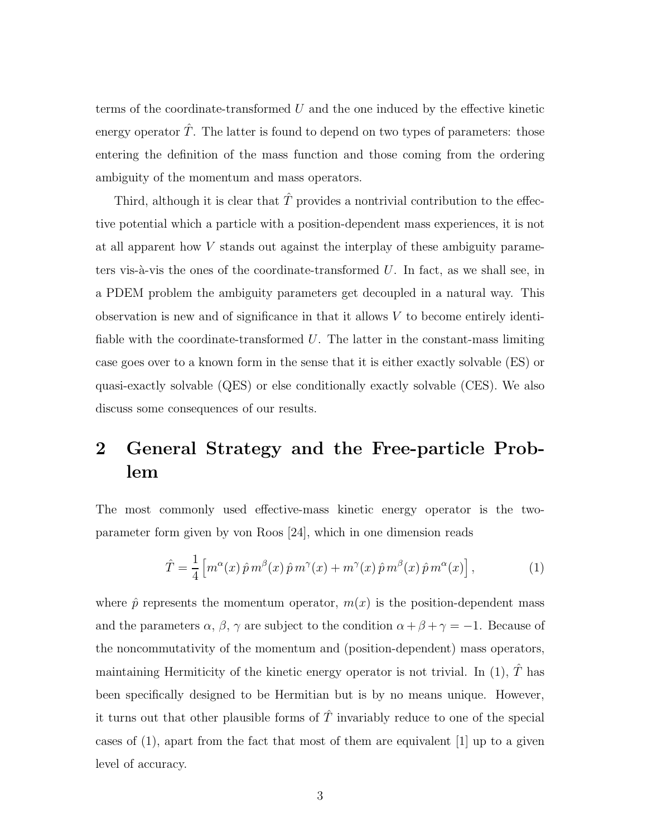terms of the coordinate-transformed  $U$  and the one induced by the effective kinetic energy operator  $\hat{T}$ . The latter is found to depend on two types of parameters: those entering the definition of the mass function and those coming from the ordering ambiguity of the momentum and mass operators.

Third, although it is clear that  $\hat{T}$  provides a nontrivial contribution to the effective potential which a particle with a position-dependent mass experiences, it is not at all apparent how V stands out against the interplay of these ambiguity parameters vis- $\alpha$ -vis the ones of the coordinate-transformed U. In fact, as we shall see, in a PDEM problem the ambiguity parameters get decoupled in a natural way. This observation is new and of significance in that it allows  $V$  to become entirely identifiable with the coordinate-transformed  $U$ . The latter in the constant-mass limiting case goes over to a known form in the sense that it is either exactly solvable (ES) or quasi-exactly solvable (QES) or else conditionally exactly solvable (CES). We also discuss some consequences of our results.

## 2 General Strategy and the Free-particle Problem

The most commonly used effective-mass kinetic energy operator is the twoparameter form given by von Roos [24], which in one dimension reads

$$
\hat{T} = \frac{1}{4} \left[ m^{\alpha}(x) \hat{p} m^{\beta}(x) \hat{p} m^{\gamma}(x) + m^{\gamma}(x) \hat{p} m^{\beta}(x) \hat{p} m^{\alpha}(x) \right],
$$
\n(1)

where  $\hat{p}$  represents the momentum operator,  $m(x)$  is the position-dependent mass and the parameters  $\alpha$ ,  $\beta$ ,  $\gamma$  are subject to the condition  $\alpha + \beta + \gamma = -1$ . Because of the noncommutativity of the momentum and (position-dependent) mass operators, maintaining Hermiticity of the kinetic energy operator is not trivial. In (1),  $\hat{T}$  has been specifically designed to be Hermitian but is by no means unique. However, it turns out that other plausible forms of  $\hat{T}$  invariably reduce to one of the special cases of  $(1)$ , apart from the fact that most of them are equivalent  $[1]$  up to a given level of accuracy.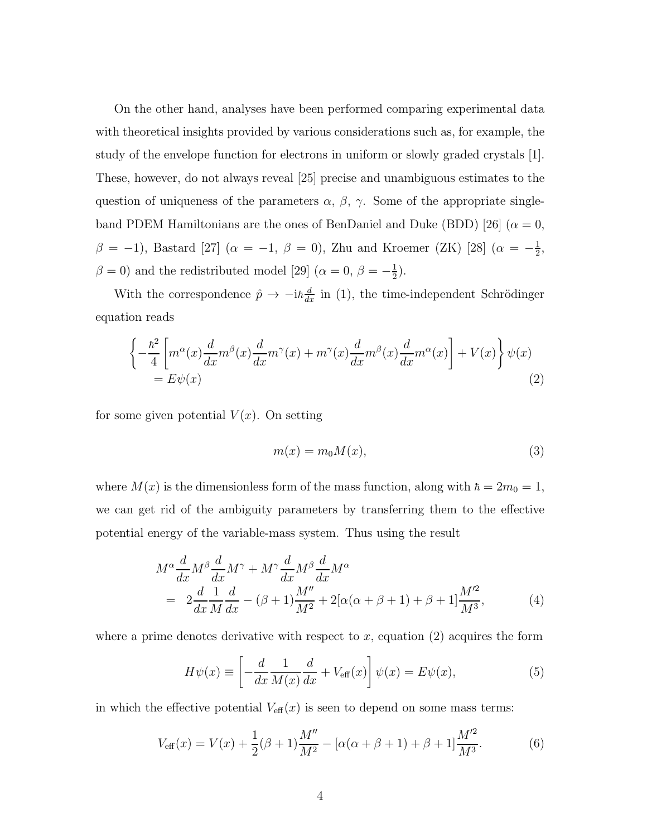On the other hand, analyses have been performed comparing experimental data with theoretical insights provided by various considerations such as, for example, the study of the envelope function for electrons in uniform or slowly graded crystals [1]. These, however, do not always reveal [25] precise and unambiguous estimates to the question of uniqueness of the parameters  $\alpha$ ,  $\beta$ ,  $\gamma$ . Some of the appropriate singleband PDEM Hamiltonians are the ones of BenDaniel and Duke (BDD) [26] ( $\alpha = 0$ ,  $β = -1$ ), Bastard [27] ( $α = -1$ ,  $β = 0$ ), Zhu and Kroemer (ZK) [28] ( $α = -\frac{1}{2}$  $\frac{1}{2}$ ,  $\beta = 0$ ) and the redistributed model [29] ( $\alpha = 0, \beta = -\frac{1}{2}$  $(\frac{1}{2})$ .

With the correspondence  $\hat{p} \to -i\hbar \frac{d}{dx}$  in (1), the time-independent Schrödinger equation reads

$$
\left\{-\frac{\hbar^2}{4}\left[m^{\alpha}(x)\frac{d}{dx}m^{\beta}(x)\frac{d}{dx}m^{\gamma}(x)+m^{\gamma}(x)\frac{d}{dx}m^{\beta}(x)\frac{d}{dx}m^{\alpha}(x)\right]+V(x)\right\}\psi(x)
$$
  
=  $E\psi(x)$  (2)

for some given potential  $V(x)$ . On setting

$$
m(x) = m_0 M(x),\tag{3}
$$

where  $M(x)$  is the dimensionless form of the mass function, along with  $\hbar = 2m_0 = 1$ , we can get rid of the ambiguity parameters by transferring them to the effective potential energy of the variable-mass system. Thus using the result

$$
M^{\alpha} \frac{d}{dx} M^{\beta} \frac{d}{dx} M^{\gamma} + M^{\gamma} \frac{d}{dx} M^{\beta} \frac{d}{dx} M^{\alpha}
$$
  
= 
$$
2 \frac{d}{dx} \frac{1}{M} \frac{d}{dx} - (\beta + 1) \frac{M''}{M^2} + 2[\alpha(\alpha + \beta + 1) + \beta + 1] \frac{M'^2}{M^3},
$$
 (4)

where a prime denotes derivative with respect to  $x$ , equation  $(2)$  acquires the form

$$
H\psi(x) \equiv \left[ -\frac{d}{dx} \frac{1}{M(x)} \frac{d}{dx} + V_{\text{eff}}(x) \right] \psi(x) = E\psi(x),\tag{5}
$$

in which the effective potential  $V_{\text{eff}}(x)$  is seen to depend on some mass terms:

$$
V_{\text{eff}}(x) = V(x) + \frac{1}{2}(\beta + 1)\frac{M''}{M^2} - [\alpha(\alpha + \beta + 1) + \beta + 1]\frac{M'^2}{M^3}.
$$
 (6)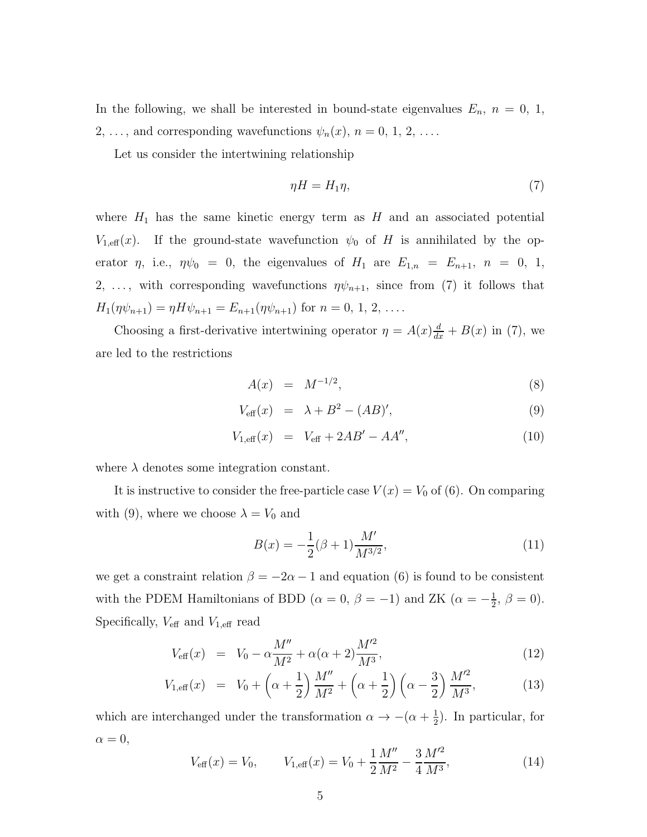In the following, we shall be interested in bound-state eigenvalues  $E_n$ ,  $n = 0, 1$ , 2, ..., and corresponding wavefunctions  $\psi_n(x)$ ,  $n = 0, 1, 2, \ldots$ .

Let us consider the intertwining relationship

$$
\eta H = H_1 \eta,\tag{7}
$$

where  $H_1$  has the same kinetic energy term as H and an associated potential  $V_{1,\text{eff}}(x)$ . If the ground-state wavefunction  $\psi_0$  of H is annihilated by the operator  $\eta$ , i.e.,  $\eta \psi_0 = 0$ , the eigenvalues of  $H_1$  are  $E_{1,n} = E_{n+1}$ ,  $n = 0, 1$ , 2, ..., with corresponding wavefunctions  $\eta \psi_{n+1}$ , since from (7) it follows that  $H_1(\eta \psi_{n+1}) = \eta H \psi_{n+1} = E_{n+1}(\eta \psi_{n+1})$  for  $n = 0, 1, 2, \dots$ 

Choosing a first-derivative intertwining operator  $\eta = A(x) \frac{d}{dx} + B(x)$  in (7), we are led to the restrictions

$$
A(x) = M^{-1/2}, \t\t(8)
$$

$$
V_{\text{eff}}(x) = \lambda + B^2 - (AB)'
$$
\n(9)

$$
V_{1,\text{eff}}(x) = V_{\text{eff}} + 2AB' - AA'', \qquad (10)
$$

where  $\lambda$  denotes some integration constant.

It is instructive to consider the free-particle case  $V(x) = V_0$  of (6). On comparing with (9), where we choose  $\lambda = V_0$  and

$$
B(x) = -\frac{1}{2}(\beta + 1)\frac{M'}{M^{3/2}},\tag{11}
$$

we get a constraint relation  $\beta = -2\alpha - 1$  and equation (6) is found to be consistent with the PDEM Hamiltonians of BDD ( $\alpha = 0, \beta = -1$ ) and ZK ( $\alpha = -\frac{1}{2}$  $\frac{1}{2}, \beta = 0$ ). Specifically,  $V_{\text{eff}}$  and  $V_{1,\text{eff}}$  read

$$
V_{\text{eff}}(x) = V_0 - \alpha \frac{M''}{M^2} + \alpha(\alpha + 2) \frac{M'^2}{M^3},
$$
\n(12)

$$
V_{1,\text{eff}}(x) = V_0 + \left(\alpha + \frac{1}{2}\right) \frac{M''}{M^2} + \left(\alpha + \frac{1}{2}\right) \left(\alpha - \frac{3}{2}\right) \frac{M'^2}{M^3},\tag{13}
$$

which are interchanged under the transformation  $\alpha \to -(\alpha + \frac{1}{2})$  $(\frac{1}{2})$ . In particular, for  $\alpha = 0,$ 

$$
V_{\text{eff}}(x) = V_0, \qquad V_{1,\text{eff}}(x) = V_0 + \frac{1}{2} \frac{M''}{M^2} - \frac{3}{4} \frac{M'^2}{M^3},\tag{14}
$$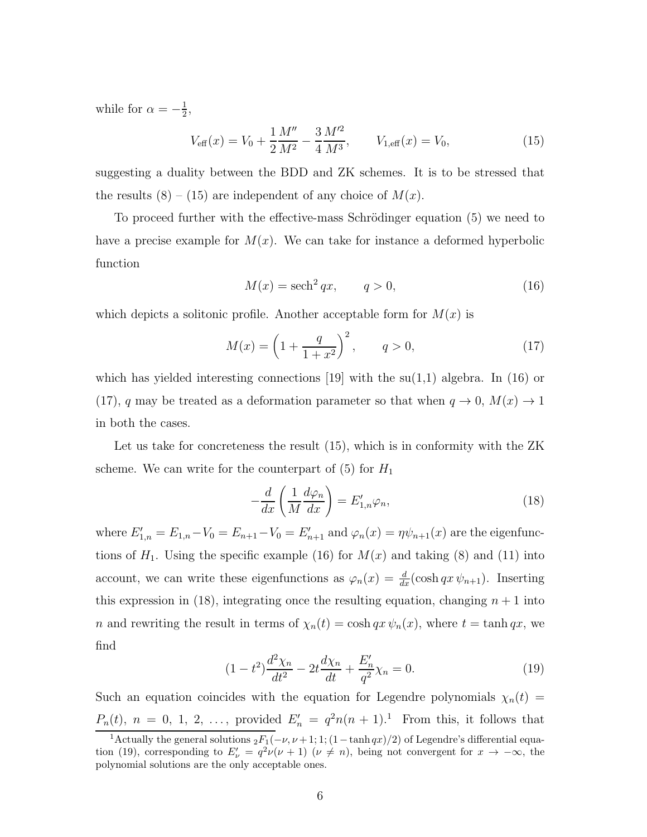while for  $\alpha = -\frac{1}{2}$  $\frac{1}{2}$ ,

$$
V_{\text{eff}}(x) = V_0 + \frac{1}{2} \frac{M''}{M^2} - \frac{3}{4} \frac{M'^2}{M^3}, \qquad V_{1,\text{eff}}(x) = V_0,\tag{15}
$$

suggesting a duality between the BDD and ZK schemes. It is to be stressed that the results  $(8) - (15)$  are independent of any choice of  $M(x)$ .

To proceed further with the effective-mass Schrödinger equation (5) we need to have a precise example for  $M(x)$ . We can take for instance a deformed hyperbolic function

$$
M(x) = \operatorname{sech}^2 qx, \qquad q > 0,\tag{16}
$$

which depicts a solitonic profile. Another acceptable form for  $M(x)$  is

$$
M(x) = \left(1 + \frac{q}{1 + x^2}\right)^2, \qquad q > 0,
$$
 (17)

which has yielded interesting connections [19] with the  $su(1,1)$  algebra. In (16) or (17), q may be treated as a deformation parameter so that when  $q \to 0$ ,  $M(x) \to 1$ in both the cases.

Let us take for concreteness the result (15), which is in conformity with the ZK scheme. We can write for the counterpart of  $(5)$  for  $H_1$ 

$$
-\frac{d}{dx}\left(\frac{1}{M}\frac{d\varphi_n}{dx}\right) = E'_{1,n}\varphi_n,\tag{18}
$$

where  $E'_{1,n} = E_{1,n} - V_0 = E_{n+1} - V_0 = E'_{n+1}$  and  $\varphi_n(x) = \eta \psi_{n+1}(x)$  are the eigenfunctions of  $H_1$ . Using the specific example (16) for  $M(x)$  and taking (8) and (11) into account, we can write these eigenfunctions as  $\varphi_n(x) = \frac{d}{dx}(\cosh qx \psi_{n+1})$ . Inserting this expression in (18), integrating once the resulting equation, changing  $n + 1$  into n and rewriting the result in terms of  $\chi_n(t) = \cosh qx \psi_n(x)$ , where  $t = \tanh qx$ , we find

$$
(1 - t2)\frac{d^{2}\chi_{n}}{dt^{2}} - 2t\frac{d\chi_{n}}{dt} + \frac{E'_{n}}{q^{2}}\chi_{n} = 0.
$$
 (19)

Such an equation coincides with the equation for Legendre polynomials  $\chi_n(t)$  =  $P_n(t)$ ,  $n = 0, 1, 2, \ldots$ , provided  $E'_n = q^2 n(n + 1)^{1}$ . From this, it follows that

<sup>&</sup>lt;sup>1</sup>Actually the general solutions  ${}_2F_1(-\nu,\nu+1;1;(1-\tanh qx)/2)$  of Legendre's differential equation (19), corresponding to  $E'_{\nu} = q^2 \nu (\nu + 1)$  ( $\nu \neq n$ ), being not convergent for  $x \to -\infty$ , the polynomial solutions are the only acceptable ones.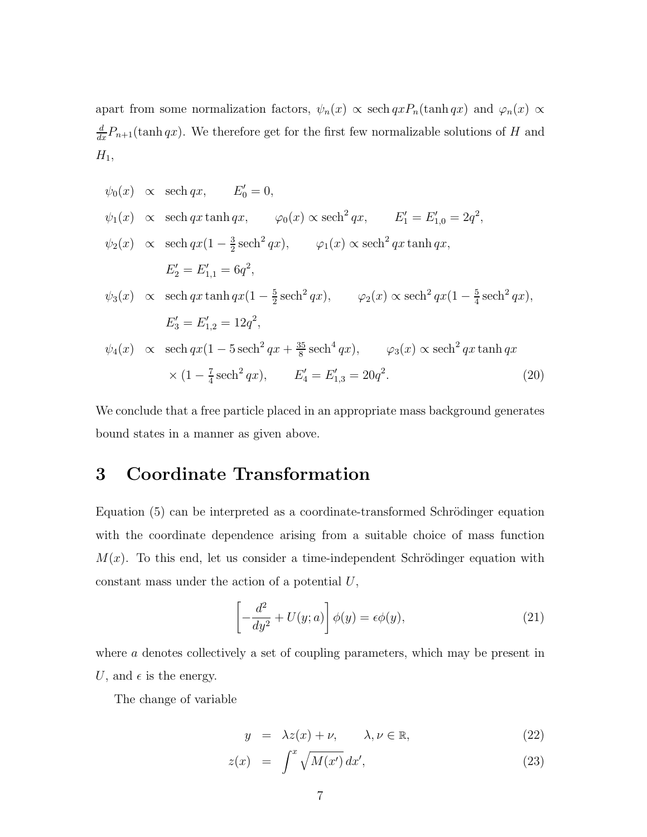apart from some normalization factors,  $\psi_n(x) \propto \operatorname{sech} qx P_n(\tanh qx)$  and  $\varphi_n(x) \propto$  $\frac{d}{dx}P_{n+1}(\tanh qx)$ . We therefore get for the first few normalizable solutions of H and  $H_1$ ,

$$
\psi_0(x) \propto \text{sech } qx, \qquad E'_0 = 0,
$$
  
\n $\psi_1(x) \propto \text{sech } qx \tanh qx, \qquad \varphi_0(x) \propto \text{sech}^2 qx, \qquad E'_1 = E'_{1,0} = 2q^2,$   
\n $\psi_2(x) \propto \text{sech } qx(1 - \frac{3}{2}\text{sech}^2 qx), \qquad \varphi_1(x) \propto \text{sech}^2 qx \tanh qx,$   
\n $E'_2 = E'_{1,1} = 6q^2,$   
\n $\psi_3(x) \propto \text{sech } qx \tanh qx(1 - \frac{5}{2}\text{sech}^2 qx), \qquad \varphi_2(x) \propto \text{sech}^2 qx(1 - \frac{5}{4}\text{sech}^2 qx),$   
\n $E'_3 = E'_{1,2} = 12q^2,$   
\n $\psi_4(x) \propto \text{sech } qx(1 - 5\text{sech}^2 qx + \frac{35}{8}\text{sech}^4 qx), \qquad \varphi_3(x) \propto \text{sech}^2 qx \tanh qx$   
\n $\times (1 - \frac{7}{4}\text{sech}^2 qx), \qquad E'_4 = E'_{1,3} = 20q^2.$  (20)

We conclude that a free particle placed in an appropriate mass background generates bound states in a manner as given above.

## 3 Coordinate Transformation

Equation (5) can be interpreted as a coordinate-transformed Schrödinger equation with the coordinate dependence arising from a suitable choice of mass function  $M(x)$ . To this end, let us consider a time-independent Schrödinger equation with constant mass under the action of a potential  $U$ ,

$$
\left[-\frac{d^2}{dy^2} + U(y; a)\right]\phi(y) = \epsilon\phi(y),\tag{21}
$$

where a denotes collectively a set of coupling parameters, which may be present in U, and  $\epsilon$  is the energy.

The change of variable

$$
y = \lambda z(x) + \nu, \qquad \lambda, \nu \in \mathbb{R}, \tag{22}
$$

$$
z(x) = \int^x \sqrt{M(x')} dx', \qquad (23)
$$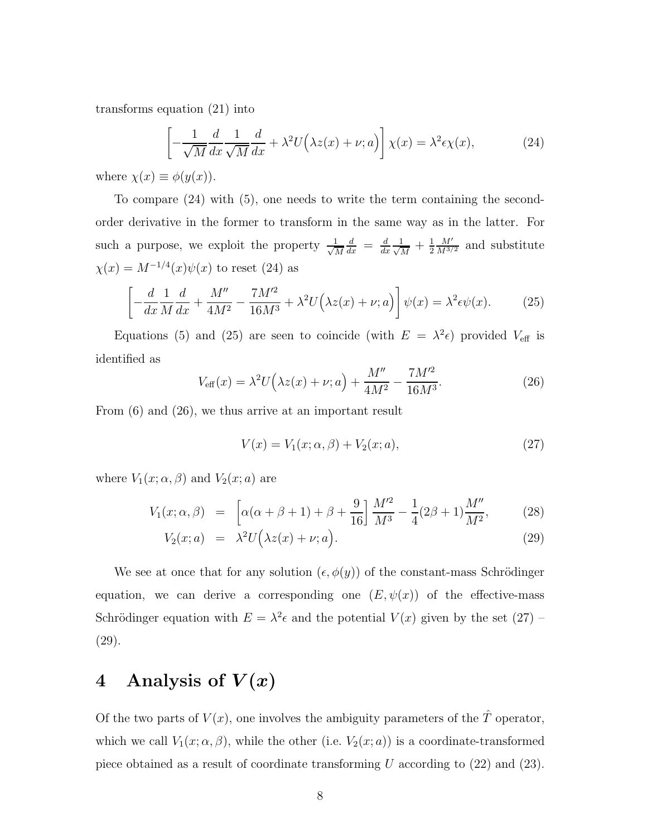transforms equation (21) into

$$
\left[ -\frac{1}{\sqrt{M}} \frac{d}{dx} \frac{1}{\sqrt{M}} \frac{d}{dx} + \lambda^2 U(\lambda z(x) + \nu; a) \right] \chi(x) = \lambda^2 \epsilon \chi(x), \tag{24}
$$

where  $\chi(x) \equiv \phi(y(x))$ .

To compare  $(24)$  with  $(5)$ , one needs to write the term containing the secondorder derivative in the former to transform in the same way as in the latter. For such a purpose, we exploit the property  $\frac{1}{\sqrt{2}}$ M  $\frac{d}{dx} = \frac{d}{dx} \frac{1}{\sqrt{l}}$  $\frac{1}{M}+\frac{1}{2}$  $\frac{1}{2} \frac{M'}{M^{3/2}}$  and substitute  $\chi(x) = M^{-1/4}(x)\psi(x)$  to reset (24) as

$$
\left[-\frac{d}{dx}\frac{1}{M}\frac{d}{dx} + \frac{M''}{4M^2} - \frac{7M'^2}{16M^3} + \lambda^2 U(\lambda z(x) + \nu; a)\right]\psi(x) = \lambda^2 \epsilon \psi(x). \tag{25}
$$

Equations (5) and (25) are seen to coincide (with  $E = \lambda^2 \epsilon$ ) provided  $V_{\text{eff}}$  is identified as

$$
V_{\text{eff}}(x) = \lambda^2 U(\lambda z(x) + \nu; a) + \frac{M''}{4M^2} - \frac{7M'^2}{16M^3}.
$$
 (26)

From (6) and (26), we thus arrive at an important result

$$
V(x) = V_1(x; \alpha, \beta) + V_2(x; a), \qquad (27)
$$

where  $V_1(x; \alpha, \beta)$  and  $V_2(x; a)$  are

$$
V_1(x; \alpha, \beta) = \left[ \alpha(\alpha + \beta + 1) + \beta + \frac{9}{16} \right] \frac{M^2}{M^3} - \frac{1}{4} (2\beta + 1) \frac{M''}{M^2}, \quad (28)
$$

$$
V_2(x; a) = \lambda^2 U(\lambda z(x) + \nu; a). \tag{29}
$$

We see at once that for any solution  $(\epsilon, \phi(y))$  of the constant-mass Schrödinger equation, we can derive a corresponding one  $(E, \psi(x))$  of the effective-mass Schrödinger equation with  $E = \lambda^2 \epsilon$  and the potential  $V(x)$  given by the set  $(27)$  -(29).

## 4 Analysis of  $V(x)$

Of the two parts of  $V(x)$ , one involves the ambiguity parameters of the  $\hat{T}$  operator, which we call  $V_1(x; \alpha, \beta)$ , while the other (i.e.  $V_2(x; a)$ ) is a coordinate-transformed piece obtained as a result of coordinate transforming  $U$  according to  $(22)$  and  $(23)$ .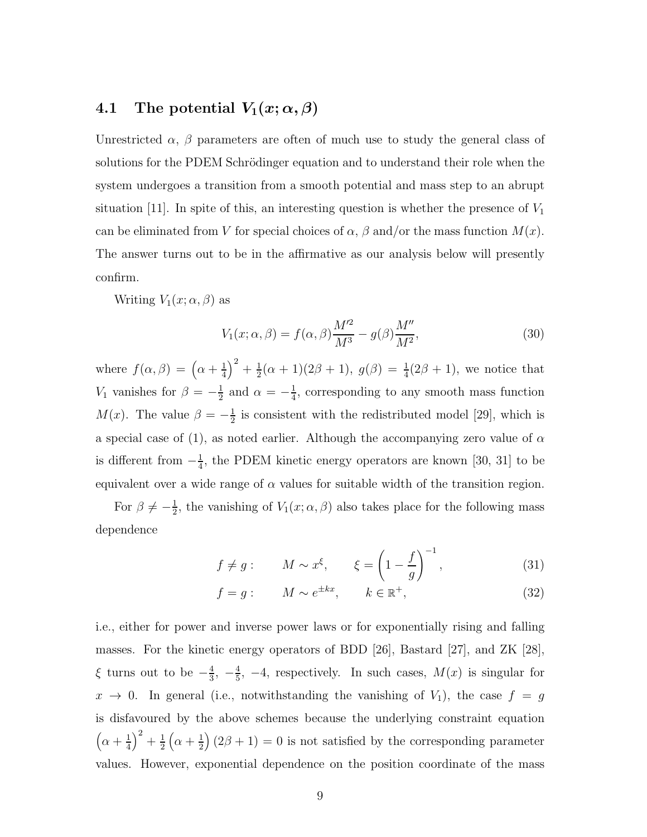### 4.1 The potential  $V_1(x; \alpha, \beta)$

Unrestricted  $\alpha$ ,  $\beta$  parameters are often of much use to study the general class of solutions for the PDEM Schrödinger equation and to understand their role when the system undergoes a transition from a smooth potential and mass step to an abrupt situation [11]. In spite of this, an interesting question is whether the presence of  $V_1$ can be eliminated from V for special choices of  $\alpha$ ,  $\beta$  and/or the mass function  $M(x)$ . The answer turns out to be in the affirmative as our analysis below will presently confirm.

Writing  $V_1(x; \alpha, \beta)$  as

$$
V_1(x; \alpha, \beta) = f(\alpha, \beta) \frac{M^2}{M^3} - g(\beta) \frac{M''}{M^2},
$$
\n(30)

where  $f(\alpha, \beta) = (\alpha + \frac{1}{4})$  $\frac{1}{4}$ )<sup>2</sup> +  $\frac{1}{2}$  $\frac{1}{2}(\alpha+1)(2\beta+1), g(\beta) = \frac{1}{4}(2\beta+1),$  we notice that  $V_1$  vanishes for  $\beta = -\frac{1}{2}$  $\frac{1}{2}$  and  $\alpha = -\frac{1}{4}$  $\frac{1}{4}$ , corresponding to any smooth mass function  $M(x)$ . The value  $\beta = -\frac{1}{2}$  $\frac{1}{2}$  is consistent with the redistributed model [29], which is a special case of (1), as noted earlier. Although the accompanying zero value of  $\alpha$ is different from  $-\frac{1}{4}$  $\frac{1}{4}$ , the PDEM kinetic energy operators are known [30, 31] to be equivalent over a wide range of  $\alpha$  values for suitable width of the transition region.

For  $\beta \neq -\frac{1}{2}$  $\frac{1}{2}$ , the vanishing of  $V_1(x; \alpha, \beta)$  also takes place for the following mass dependence

$$
f \neq g: \qquad M \sim x^{\xi}, \qquad \xi = \left(1 - \frac{f}{g}\right)^{-1}, \tag{31}
$$

$$
f = g: \qquad M \sim e^{\pm kx}, \qquad k \in \mathbb{R}^+, \tag{32}
$$

i.e., either for power and inverse power laws or for exponentially rising and falling masses. For the kinetic energy operators of BDD [26], Bastard [27], and ZK [28],  $\xi$  turns out to be  $-\frac{4}{3}$  $\frac{4}{3}, -\frac{4}{5}$  $\frac{4}{5}$ , -4, respectively. In such cases,  $M(x)$  is singular for  $x \to 0$ . In general (i.e., notwithstanding the vanishing of  $V_1$ ), the case  $f = g$ is disfavoured by the above schemes because the underlying constraint equation  $\left(\alpha+\frac{1}{4}\right)$  $\frac{1}{4}$  $\Big)^2 + \frac{1}{2}$  $rac{1}{2}(\alpha + \frac{1}{2})$  $\frac{1}{2}$   $(2\beta + 1) = 0$  is not satisfied by the corresponding parameter values. However, exponential dependence on the position coordinate of the mass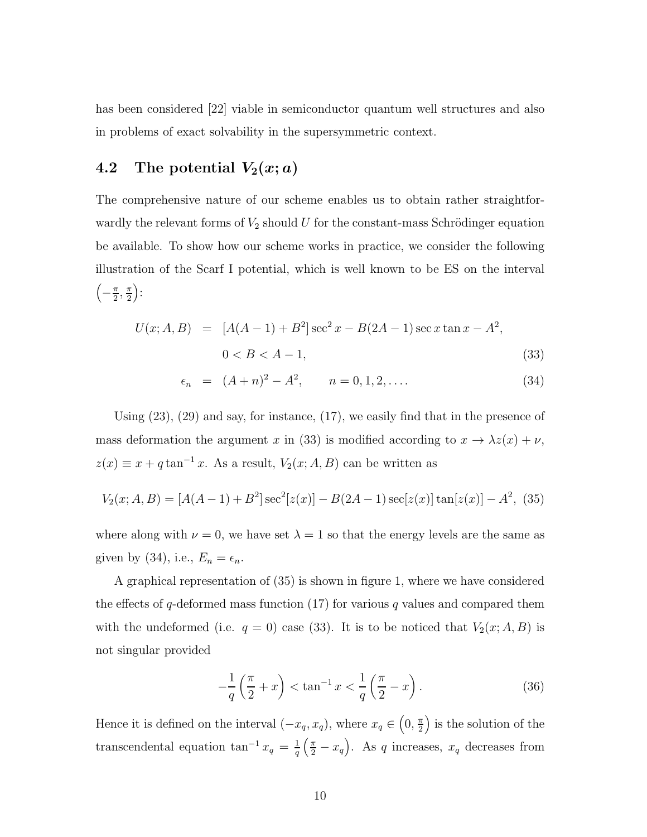has been considered [22] viable in semiconductor quantum well structures and also in problems of exact solvability in the supersymmetric context.

### 4.2 The potential  $V_2(x; a)$

The comprehensive nature of our scheme enables us to obtain rather straightforwardly the relevant forms of  $V_2$  should U for the constant-mass Schrödinger equation be available. To show how our scheme works in practice, we consider the following illustration of the Scarf I potential, which is well known to be ES on the interval  $\left(-\frac{\pi}{2},\frac{\pi}{2}\right)$ :

$$
U(x; A, B) = [A(A-1) + B2] \sec2 x - B(2A-1) \sec x \tan x - A2,
$$
  
0 < B < A - 1, (33)

$$
\epsilon_n = (A+n)^2 - A^2, \qquad n = 0, 1, 2, .... \tag{34}
$$

Using (23), (29) and say, for instance, (17), we easily find that in the presence of mass deformation the argument x in (33) is modified according to  $x \to \lambda z(x) + \nu$ ,  $z(x) \equiv x + q \tan^{-1} x$ . As a result,  $V_2(x; A, B)$  can be written as

$$
V_2(x; A, B) = [A(A-1) + B^2] \sec^2[z(x)] - B(2A-1) \sec[z(x)] \tan[z(x)] - A^2, (35)
$$

where along with  $\nu = 0$ , we have set  $\lambda = 1$  so that the energy levels are the same as given by (34), i.e.,  $E_n = \epsilon_n$ .

A graphical representation of (35) is shown in figure 1, where we have considered the effects of q-deformed mass function  $(17)$  for various q values and compared them with the undeformed (i.e.  $q = 0$ ) case (33). It is to be noticed that  $V_2(x; A, B)$  is not singular provided

$$
-\frac{1}{q}\left(\frac{\pi}{2}+x\right) < \tan^{-1}x < \frac{1}{q}\left(\frac{\pi}{2}-x\right). \tag{36}
$$

Hence it is defined on the interval  $(-x_q, x_q)$ , where  $x_q \in (0, \frac{\pi}{2})$  is the solution of the transcendental equation tan<sup>-1</sup>  $x_q = \frac{1}{q}$  $\frac{1}{q}(\frac{\pi}{2}-x_q)$ . As q increases,  $x_q$  decreases from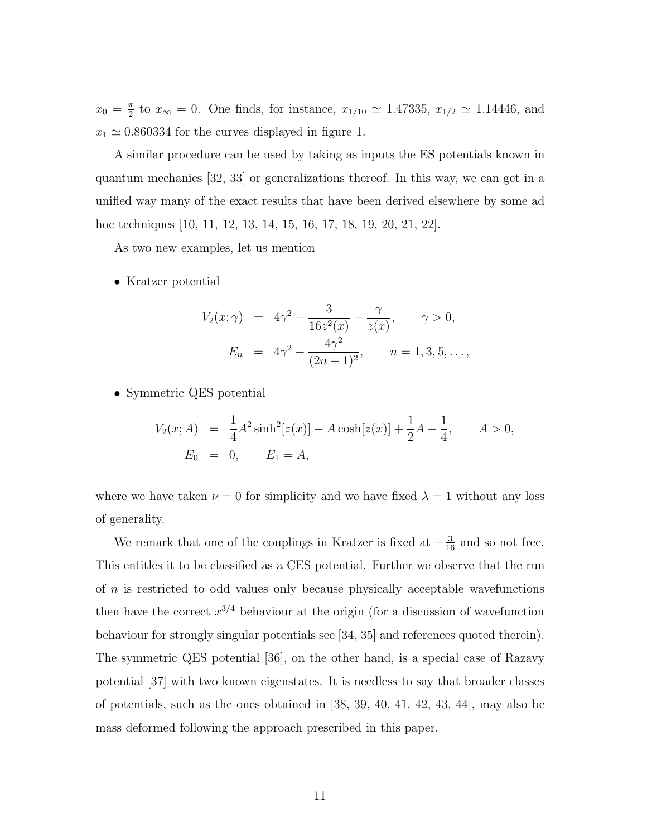$x_0 = \frac{\pi}{2}$  to  $x_{\infty} = 0$ . One finds, for instance,  $x_{1/10} \simeq 1.47335, x_{1/2} \simeq 1.14446$ , and  $x_1 \approx 0.860334$  for the curves displayed in figure 1.

A similar procedure can be used by taking as inputs the ES potentials known in quantum mechanics [32, 33] or generalizations thereof. In this way, we can get in a unified way many of the exact results that have been derived elsewhere by some ad hoc techniques [10, 11, 12, 13, 14, 15, 16, 17, 18, 19, 20, 21, 22].

As two new examples, let us mention

• Kratzer potential

$$
V_2(x; \gamma) = 4\gamma^2 - \frac{3}{16z^2(x)} - \frac{\gamma}{z(x)}, \qquad \gamma > 0,
$$
  

$$
E_n = 4\gamma^2 - \frac{4\gamma^2}{(2n+1)^2}, \qquad n = 1, 3, 5, \dots,
$$

• Symmetric QES potential

$$
V_2(x; A) = \frac{1}{4}A^2 \sinh^2[z(x)] - A \cosh[z(x)] + \frac{1}{2}A + \frac{1}{4}, \qquad A > 0,
$$
  

$$
E_0 = 0, \qquad E_1 = A,
$$

where we have taken  $\nu = 0$  for simplicity and we have fixed  $\lambda = 1$  without any loss of generality.

We remark that one of the couplings in Kratzer is fixed at  $-\frac{3}{16}$  and so not free. This entitles it to be classified as a CES potential. Further we observe that the run of n is restricted to odd values only because physically acceptable wavefunctions then have the correct  $x^{3/4}$  behaviour at the origin (for a discussion of wavefunction behaviour for strongly singular potentials see [34, 35] and references quoted therein). The symmetric QES potential [36], on the other hand, is a special case of Razavy potential [37] with two known eigenstates. It is needless to say that broader classes of potentials, such as the ones obtained in [38, 39, 40, 41, 42, 43, 44], may also be mass deformed following the approach prescribed in this paper.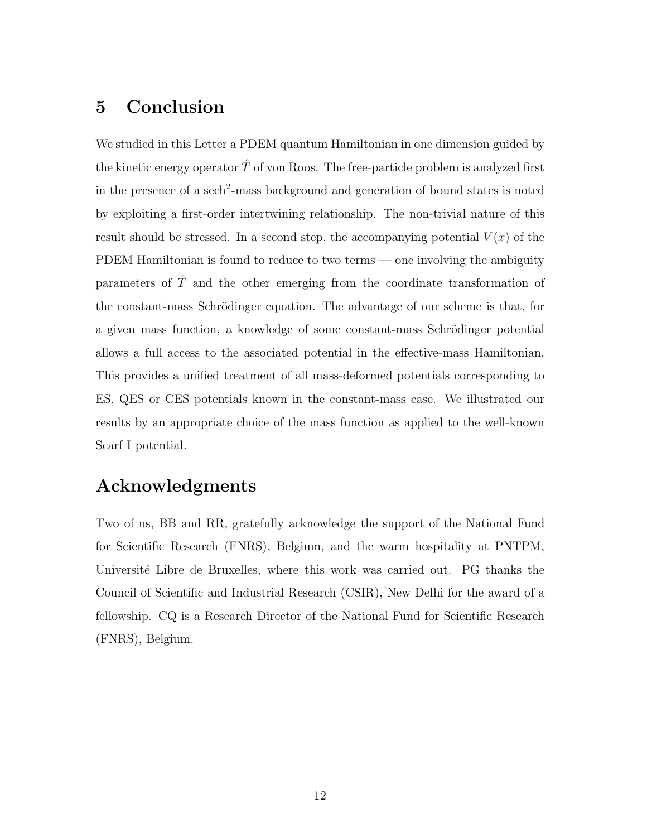## 5 Conclusion

We studied in this Letter a PDEM quantum Hamiltonian in one dimension guided by the kinetic energy operator  $\hat{T}$  of von Roos. The free-particle problem is analyzed first in the presence of a sech<sup>2</sup>-mass background and generation of bound states is noted by exploiting a first-order intertwining relationship. The non-trivial nature of this result should be stressed. In a second step, the accompanying potential  $V(x)$  of the PDEM Hamiltonian is found to reduce to two terms — one involving the ambiguity parameters of  $\hat{T}$  and the other emerging from the coordinate transformation of the constant-mass Schrödinger equation. The advantage of our scheme is that, for a given mass function, a knowledge of some constant-mass Schrödinger potential allows a full access to the associated potential in the effective-mass Hamiltonian. This provides a unified treatment of all mass-deformed potentials corresponding to ES, QES or CES potentials known in the constant-mass case. We illustrated our results by an appropriate choice of the mass function as applied to the well-known Scarf I potential.

## Acknowledgments

Two of us, BB and RR, gratefully acknowledge the support of the National Fund for Scientific Research (FNRS), Belgium, and the warm hospitality at PNTPM, Université Libre de Bruxelles, where this work was carried out. PG thanks the Council of Scientific and Industrial Research (CSIR), New Delhi for the award of a fellowship. CQ is a Research Director of the National Fund for Scientific Research (FNRS), Belgium.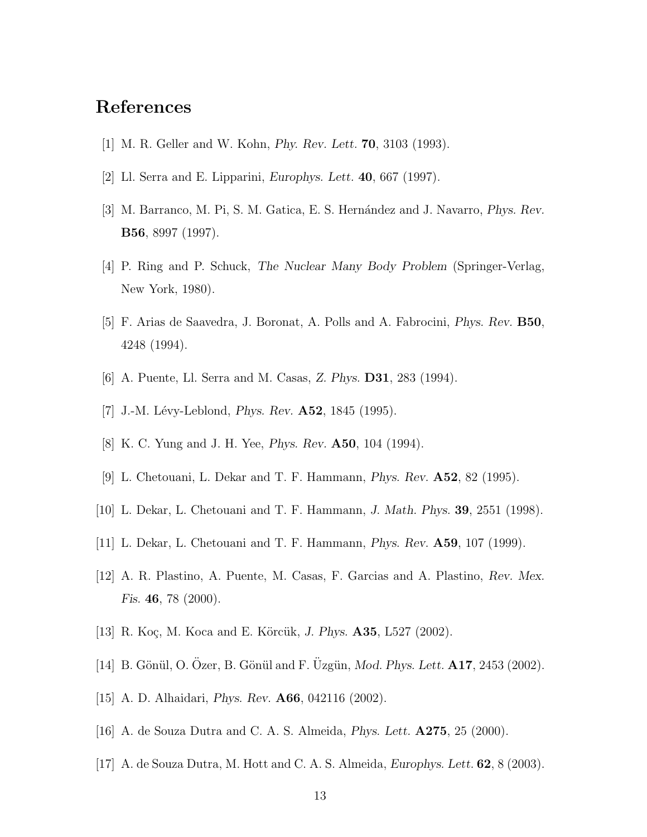## References

- [1] M. R. Geller and W. Kohn, Phy. Rev. Lett. 70, 3103 (1993).
- [2] Ll. Serra and E. Lipparini, *Europhys. Lett.* **40**, 667 (1997).
- [3] M. Barranco, M. Pi, S. M. Gatica, E. S. Hernández and J. Navarro, *Phys. Rev.* B56, 8997 (1997).
- [4] P. Ring and P. Schuck, The Nuclear Many Body Problem (Springer-Verlag, New York, 1980).
- [5] F. Arias de Saavedra, J. Boronat, A. Polls and A. Fabrocini, Phys. Rev. B50, 4248 (1994).
- [6] A. Puente, Ll. Serra and M. Casas, Z. Phys. D31, 283 (1994).
- [7] J.-M. Lévy-Leblond, *Phys. Rev.*  $A52$ , 1845 (1995).
- [8] K. C. Yung and J. H. Yee, Phys. Rev. A50, 104 (1994).
- [9] L. Chetouani, L. Dekar and T. F. Hammann, Phys. Rev. A52, 82 (1995).
- [10] L. Dekar, L. Chetouani and T. F. Hammann, J. Math. Phys. 39, 2551 (1998).
- [11] L. Dekar, L. Chetouani and T. F. Hammann, Phys. Rev. A59, 107 (1999).
- [12] A. R. Plastino, A. Puente, M. Casas, F. Garcias and A. Plastino, Rev. Mex. Fis. 46, 78 (2000).
- [13] R. Koç, M. Koca and E. Körcük, J. Phys. **A35**, L527 (2002).
- [14] B. Gönül, O. Ozer, B. Gönül and F. Uzgün, Mod. Phys. Lett. A17, 2453 (2002).
- [15] A. D. Alhaidari, Phys. Rev. A66, 042116 (2002).
- [16] A. de Souza Dutra and C. A. S. Almeida, Phys. Lett. A275, 25 (2000).
- [17] A. de Souza Dutra, M. Hott and C. A. S. Almeida, Europhys. Lett. 62, 8 (2003).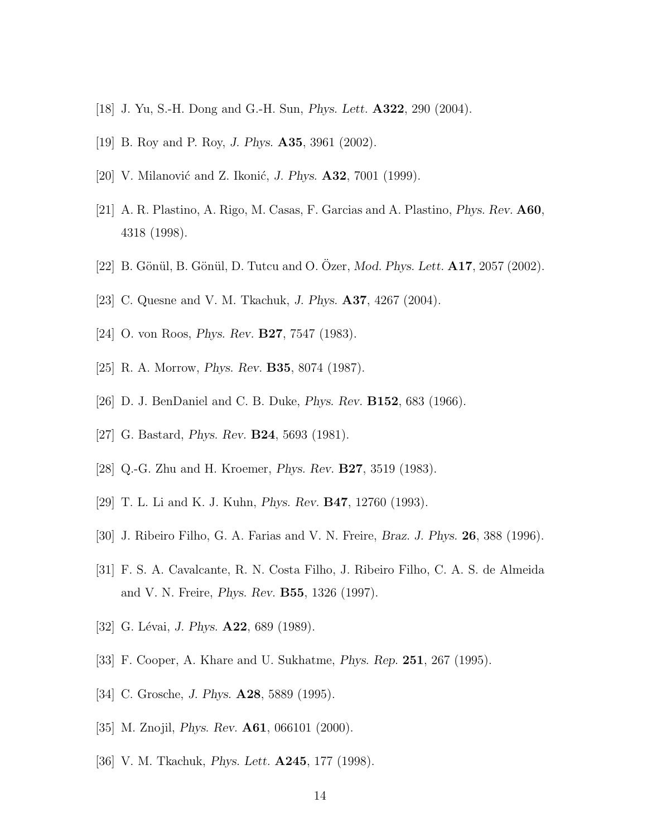- [18] J. Yu, S.-H. Dong and G.-H. Sun, Phys. Lett. A322, 290 (2004).
- [19] B. Roy and P. Roy, J. Phys. A35, 3961 (2002).
- [20] V. Milanović and Z. Ikonić, J. Phys.  $\mathbf{A32}$ , 7001 (1999).
- [21] A. R. Plastino, A. Rigo, M. Casas, F. Garcias and A. Plastino, Phys. Rev. A60, 4318 (1998).
- [22] B. Gönül, B. Gönül, D. Tutcu and O. Özer, *Mod. Phys. Lett.* **A17**, 2057 (2002).
- [23] C. Quesne and V. M. Tkachuk, J. Phys. A37, 4267 (2004).
- [24] O. von Roos, *Phys. Rev.* **B27**, 7547 (1983).
- [25] R. A. Morrow, Phys. Rev. B35, 8074 (1987).
- [26] D. J. BenDaniel and C. B. Duke, Phys. Rev. B152, 683 (1966).
- [27] G. Bastard, Phys. Rev. B24, 5693 (1981).
- [28] Q.-G. Zhu and H. Kroemer, Phys. Rev. B27, 3519 (1983).
- [29] T. L. Li and K. J. Kuhn, Phys. Rev. B47, 12760 (1993).
- [30] J. Ribeiro Filho, G. A. Farias and V. N. Freire, Braz. J. Phys. 26, 388 (1996).
- [31] F. S. A. Cavalcante, R. N. Costa Filho, J. Ribeiro Filho, C. A. S. de Almeida and V. N. Freire, Phys. Rev. B55, 1326 (1997).
- [32] G. Lévai, *J. Phys.*  $A22$ , 689 (1989).
- [33] F. Cooper, A. Khare and U. Sukhatme, Phys. Rep. 251, 267 (1995).
- [34] C. Grosche, *J. Phys.* **A28**, 5889 (1995).
- [35] M. Znojil, *Phys. Rev.* **A61**, 066101 (2000).
- [36] V. M. Tkachuk, *Phys. Lett.* **A245**, 177 (1998).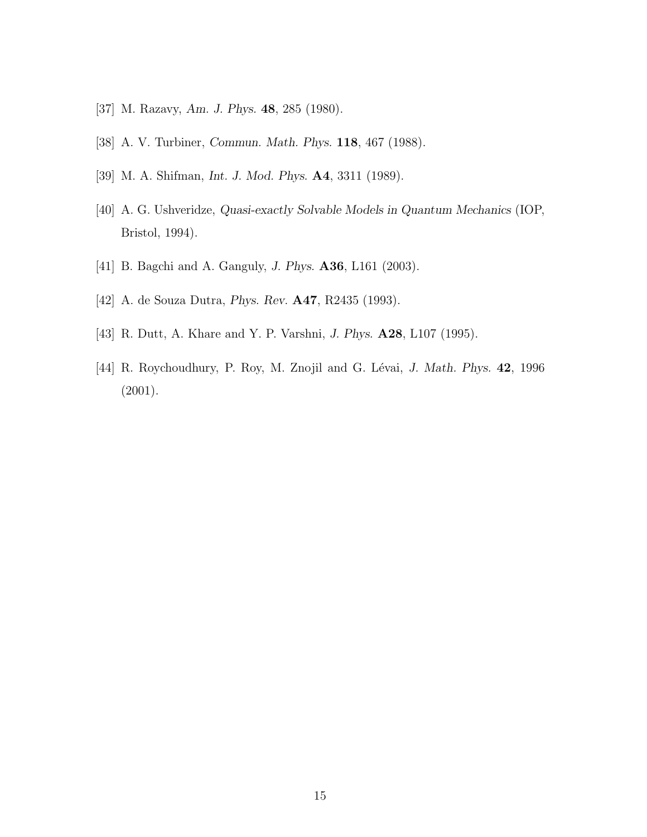- [37] M. Razavy, Am. J. Phys. 48, 285 (1980).
- [38] A. V. Turbiner, Commun. Math. Phys. 118, 467 (1988).
- [39] M. A. Shifman, Int. J. Mod. Phys. A4, 3311 (1989).
- [40] A. G. Ushveridze, Quasi-exactly Solvable Models in Quantum Mechanics (IOP, Bristol, 1994).
- [41] B. Bagchi and A. Ganguly, J. Phys. A36, L161 (2003).
- [42] A. de Souza Dutra, Phys. Rev. A47, R2435 (1993).
- [43] R. Dutt, A. Khare and Y. P. Varshni, J. Phys. **A28**, L107 (1995).
- [44] R. Roychoudhury, P. Roy, M. Znojil and G. Lévai, J. Math. Phys. 42, 1996 (2001).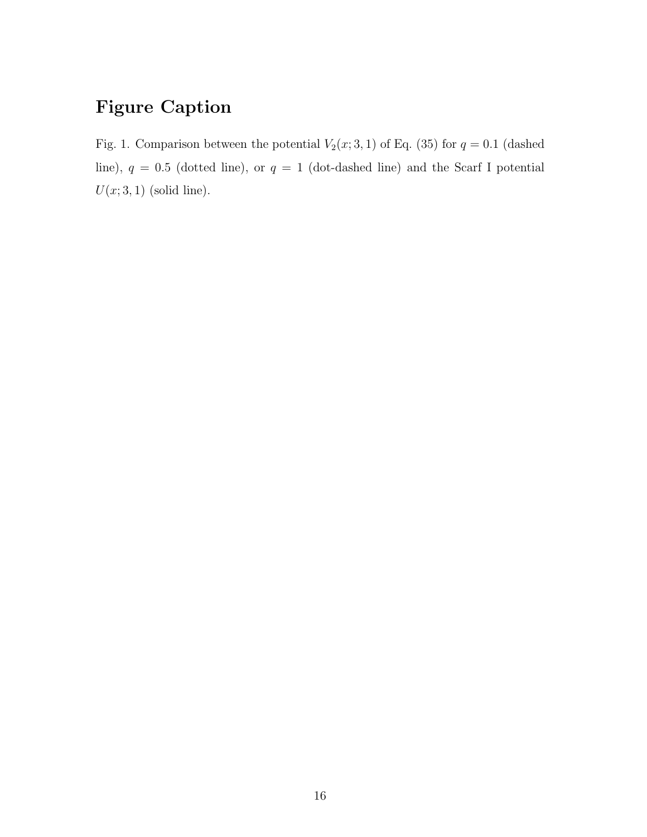## Figure Caption

Fig. 1. Comparison between the potential  $V_2(x; 3, 1)$  of Eq. (35) for  $q = 0.1$  (dashed line),  $q = 0.5$  (dotted line), or  $q = 1$  (dot-dashed line) and the Scarf I potential  $U(x; 3, 1)$  (solid line).